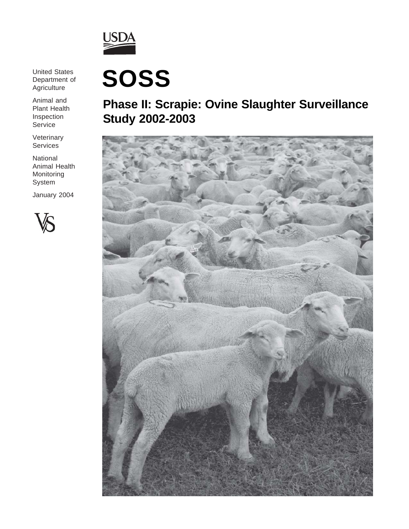

United States Department of **Agriculture** 

Animal and Plant Health Inspection **Service** 

**Veterinary** Services

National Animal Health Monitoring System

January 2004



# **SOSS**

**Phase II: Scrapie: Ovine Slaughter Surveillance Study 2002-2003**

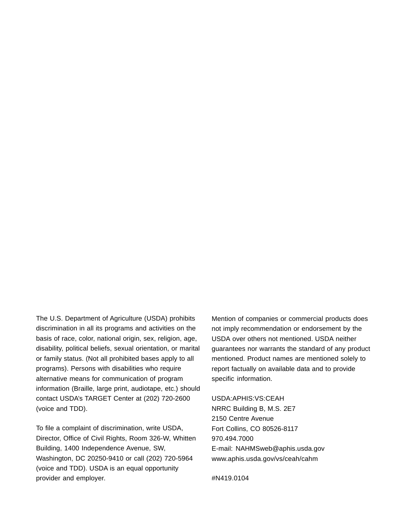The U.S. Department of Agriculture (USDA) prohibits discrimination in all its programs and activities on the basis of race, color, national origin, sex, religion, age, disability, political beliefs, sexual orientation, or marital or family status. (Not all prohibited bases apply to all programs). Persons with disabilities who require alternative means for communication of program information (Braille, large print, audiotape, etc.) should contact USDA's TARGET Center at (202) 720-2600 (voice and TDD).

To file a complaint of discrimination, write USDA, Director, Office of Civil Rights, Room 326-W, Whitten Building, 1400 Independence Avenue, SW, Washington, DC 20250-9410 or call (202) 720-5964 (voice and TDD). USDA is an equal opportunity provider and employer.

Mention of companies or commercial products does not imply recommendation or endorsement by the USDA over others not mentioned. USDA neither guarantees nor warrants the standard of any product mentioned. Product names are mentioned solely to report factually on available data and to provide specific information.

USDA:APHIS:VS:CEAH NRRC Building B, M.S. 2E7 2150 Centre Avenue Fort Collins, CO 80526-8117 970.494.7000 E-mail: NAHMSweb@aphis.usda.gov www.aphis.usda.gov/vs/ceah/cahm

#N419.0104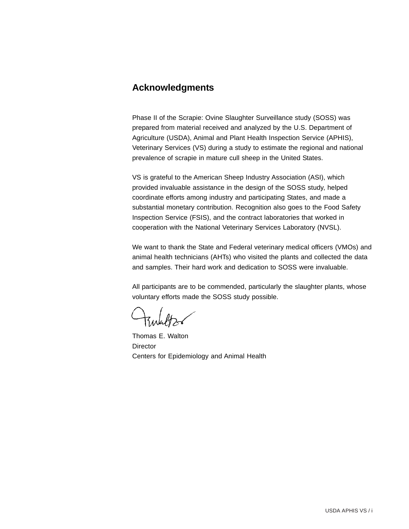# **Acknowledgments**

Phase II of the Scrapie: Ovine Slaughter Surveillance study (SOSS) was prepared from material received and analyzed by the U.S. Department of Agriculture (USDA), Animal and Plant Health Inspection Service (APHIS), Veterinary Services (VS) during a study to estimate the regional and national prevalence of scrapie in mature cull sheep in the United States.

VS is grateful to the American Sheep Industry Association (ASI), which provided invaluable assistance in the design of the SOSS study, helped coordinate efforts among industry and participating States, and made a substantial monetary contribution. Recognition also goes to the Food Safety Inspection Service (FSIS), and the contract laboratories that worked in cooperation with the National Veterinary Services Laboratory (NVSL).

We want to thank the State and Federal veterinary medical officers (VMOs) and animal health technicians (AHTs) who visited the plants and collected the data and samples. Their hard work and dedication to SOSS were invaluable.

All participants are to be commended, particularly the slaughter plants, whose voluntary efforts made the SOSS study possible.

Thomas E. Walton **Director** Centers for Epidemiology and Animal Health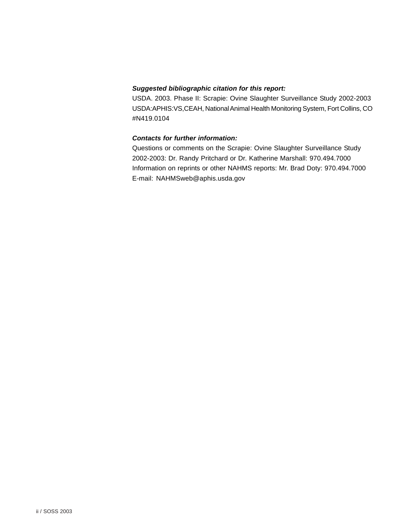# *Suggested bibliographic citation for this report:*

USDA. 2003. Phase II: Scrapie: Ovine Slaughter Surveillance Study 2002-2003 USDA:APHIS:VS,CEAH, National Animal Health Monitoring System, Fort Collins, CO #N419.0104

# *Contacts for further information:*

Questions or comments on the Scrapie: Ovine Slaughter Surveillance Study 2002-2003: Dr. Randy Pritchard or Dr. Katherine Marshall: 970.494.7000 Information on reprints or other NAHMS reports: Mr. Brad Doty: 970.494.7000 E-mail: NAHMSweb@aphis.usda.gov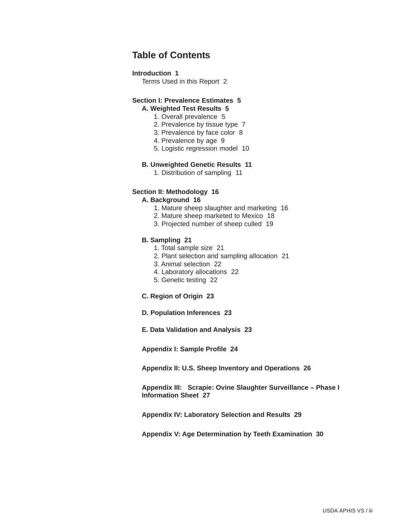# **Table of Contents**

# **Introduction 1**

Terms Used in this Report 2

# **Section I: Prevalence Estimates 5**

**A. Weighted Test Results 5**

- 1. Overall prevalence 5
- 2. Prevalence by tissue type 7
- 3. Prevalence by face color 8
- 4. Prevalence by age 9
- 5. Logistic regression model 10

# **B. Unweighted Genetic Results 11**

1. Distribution of sampling 11

# **Section II: Methodology 16**

# **A. Background 16**

- 1. Mature sheep slaughter and marketing 16
- 2. Mature sheep marketed to Mexico 18
- 3. Projected number of sheep culled 19

# **B. Sampling 21**

- 1. Total sample size 21
- 2. Plant selection and sampling allocation 21
- 3. Animal selection 22
- 4. Laboratory allocations 22
- 5. Genetic testing 22

# **C. Region of Origin 23**

- **D. Population Inferences 23**
- **E. Data Validation and Analysis 23**

**Appendix I: Sample Profile 24**

**Appendix II: U.S. Sheep Inventory and Operations 26**

**Appendix III: Scrapie: Ovine Slaughter Surveillance – Phase I Information Sheet 27**

**Appendix IV: Laboratory Selection and Results 29**

**Appendix V: Age Determination by Teeth Examination 30**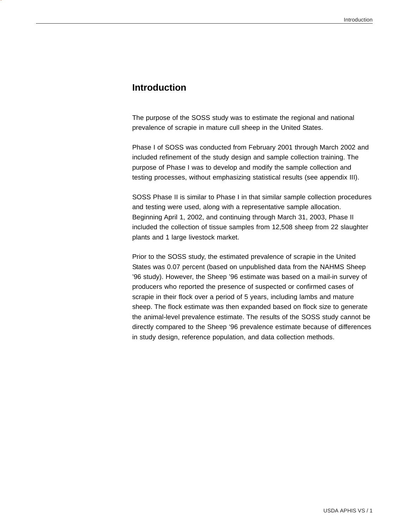# **Introduction**

The purpose of the SOSS study was to estimate the regional and national prevalence of scrapie in mature cull sheep in the United States.

Phase I of SOSS was conducted from February 2001 through March 2002 and included refinement of the study design and sample collection training. The purpose of Phase I was to develop and modify the sample collection and testing processes, without emphasizing statistical results (see appendix III).

SOSS Phase II is similar to Phase I in that similar sample collection procedures and testing were used, along with a representative sample allocation. Beginning April 1, 2002, and continuing through March 31, 2003, Phase II included the collection of tissue samples from 12,508 sheep from 22 slaughter plants and 1 large livestock market.

Prior to the SOSS study, the estimated prevalence of scrapie in the United States was 0.07 percent (based on unpublished data from the NAHMS Sheep '96 study). However, the Sheep '96 estimate was based on a mail-in survey of producers who reported the presence of suspected or confirmed cases of scrapie in their flock over a period of 5 years, including lambs and mature sheep. The flock estimate was then expanded based on flock size to generate the animal-level prevalence estimate. The results of the SOSS study cannot be directly compared to the Sheep '96 prevalence estimate because of differences in study design, reference population, and data collection methods.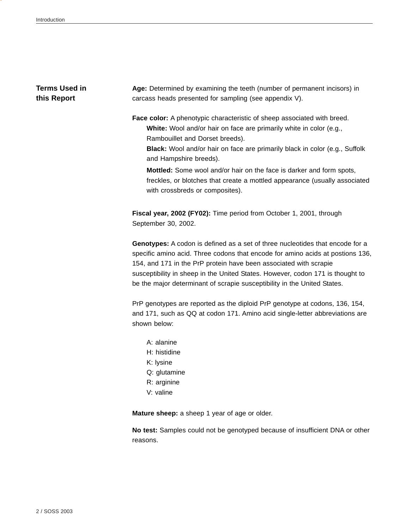# **Terms Used in this Report**

**Age:** Determined by examining the teeth (number of permanent incisors) in carcass heads presented for sampling (see appendix V).

**Face color:** A phenotypic characteristic of sheep associated with breed.

**White:** Wool and/or hair on face are primarily white in color (e.g., Rambouillet and Dorset breeds).

**Black:** Wool and/or hair on face are primarily black in color (e.g., Suffolk and Hampshire breeds).

**Mottled:** Some wool and/or hair on the face is darker and form spots, freckles, or blotches that create a mottled appearance (usually associated with crossbreds or composites).

**Fiscal year, 2002 (FY02):** Time period from October 1, 2001, through September 30, 2002.

**Genotypes:** A codon is defined as a set of three nucleotides that encode for a specific amino acid. Three codons that encode for amino acids at postions 136, 154, and 171 in the PrP protein have been associated with scrapie susceptibility in sheep in the United States. However, codon 171 is thought to be the major determinant of scrapie susceptibility in the United States.

PrP genotypes are reported as the diploid PrP genotype at codons, 136, 154, and 171, such as QQ at codon 171. Amino acid single-letter abbreviations are shown below:

A: alanine H: histidine K: lysine Q: glutamine R: arginine V: valine

**Mature sheep:** a sheep 1 year of age or older.

**No test:** Samples could not be genotyped because of insufficient DNA or other reasons.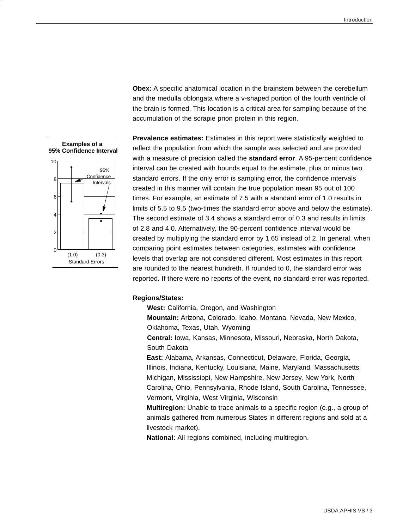

**Prevalence estimates:** Estimates in this report were statistically weighted to reflect the population from which the sample was selected and are provided with a measure of precision called the **standard error**. A 95-percent confidence interval can be created with bounds equal to the estimate, plus or minus two standard errors. If the only error is sampling error, the confidence intervals created in this manner will contain the true population mean 95 out of 100 times. For example, an estimate of 7.5 with a standard error of 1.0 results in limits of 5.5 to 9.5 (two-times the standard error above and below the estimate). The second estimate of 3.4 shows a standard error of 0.3 and results in limits of 2.8 and 4.0. Alternatively, the 90-percent confidence interval would be created by multiplying the standard error by 1.65 instead of 2. In general, when comparing point estimates between categories, estimates with confidence levels that overlap are not considered different. Most estimates in this report are rounded to the nearest hundreth. If rounded to 0, the standard error was reported. If there were no reports of the event, no standard error was reported.

#### **Regions/States:**

**West:** California, Oregon, and Washington

**Mountain:** Arizona, Colorado, Idaho, Montana, Nevada, New Mexico, Oklahoma, Texas, Utah, Wyoming

**Central:** Iowa, Kansas, Minnesota, Missouri, Nebraska, North Dakota, South Dakota

**East:** Alabama, Arkansas, Connecticut, Delaware, Florida, Georgia, Illinois, Indiana, Kentucky, Louisiana, Maine, Maryland, Massachusetts, Michigan, Mississippi, New Hampshire, New Jersey, New York, North Carolina, Ohio, Pennsylvania, Rhode Island, South Carolina, Tennessee, Vermont, Virginia, West Virginia, Wisconsin

**Multiregion:** Unable to trace animals to a specific region (e.g., a group of animals gathered from numerous States in different regions and sold at a livestock market).

**National:** All regions combined, including multiregion.



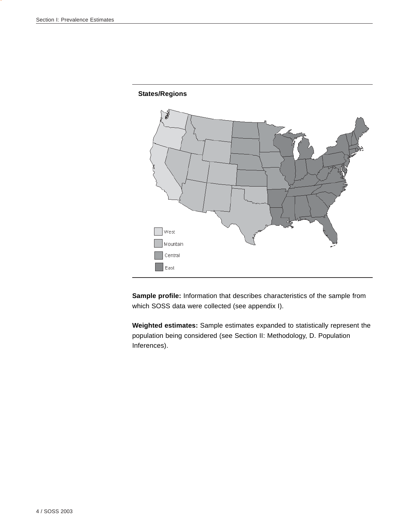



**Sample profile:** Information that describes characteristics of the sample from which SOSS data were collected (see appendix I).

**Weighted estimates:** Sample estimates expanded to statistically represent the population being considered (see Section II: Methodology, D. Population Inferences).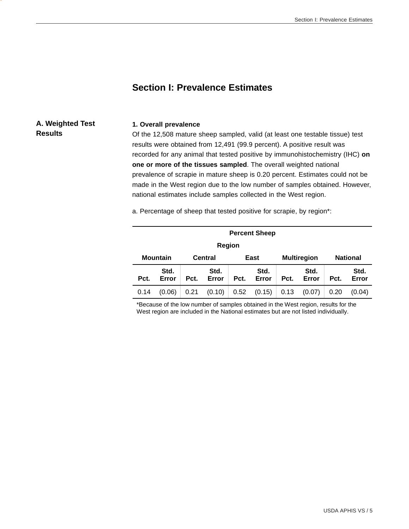# **Section I: Prevalence Estimates**

# **A. Weighted Test Results**

## **1. Overall prevalence**

Of the 12,508 mature sheep sampled, valid (at least one testable tissue) test results were obtained from 12,491 (99.9 percent). A positive result was recorded for any animal that tested positive by immunohistochemistry (IHC) **on one or more of the tissues sampled**. The overall weighted national prevalence of scrapie in mature sheep is 0.20 percent. Estimates could not be made in the West region due to the low number of samples obtained. However, national estimates include samples collected in the West region.

a. Percentage of sheep that tested positive for scrapie, by region\*:

| <b>Percent Sheep</b> |               |      |                        |      |                    |      |                 |      |               |
|----------------------|---------------|------|------------------------|------|--------------------|------|-----------------|------|---------------|
|                      | Region        |      |                        |      |                    |      |                 |      |               |
| <b>Mountain</b>      |               |      | <b>Central</b><br>East |      | <b>Multiregion</b> |      | <b>National</b> |      |               |
| Pct.                 | Std.<br>Error | Pct. | Std.<br>Error          | Pct. | Std.<br>Error      | Pct. | Std.<br>Error   | Pct. | Std.<br>Error |
| 0.14                 | (0.06)        | 0.21 | (0.10)                 | 0.52 | (0.15)             | 0.13 | (0.07)          | 0.20 | (0.04)        |

\*Because of the low number of samples obtained in the West region, results for the West region are included in the National estimates but are not listed individually.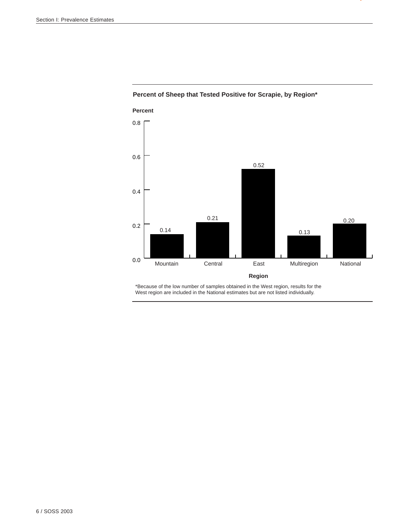

# **Percent of Sheep that Tested Positive for Scrapie, by Region\***

\*Because of the low number of samples obtained in the West region, results for the West region are included in the National estimates but are not listed individually.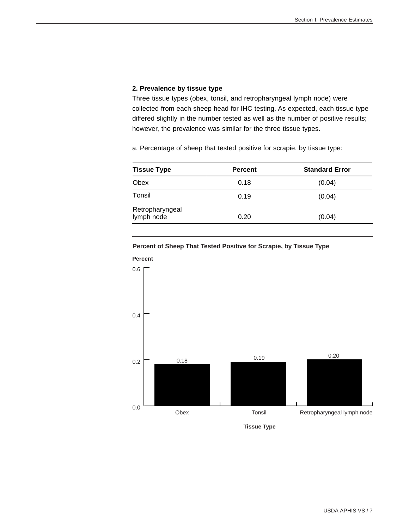# **2. Prevalence by tissue type**

Three tissue types (obex, tonsil, and retropharyngeal lymph node) were collected from each sheep head for IHC testing. As expected, each tissue type differed slightly in the number tested as well as the number of positive results; however, the prevalence was similar for the three tissue types.

a. Percentage of sheep that tested positive for scrapie, by tissue type:

| <b>Tissue Type</b>            | <b>Percent</b> | <b>Standard Error</b> |
|-------------------------------|----------------|-----------------------|
| Obex                          | 0.18           | (0.04)                |
| Tonsil                        | 0.19           | (0.04)                |
| Retropharyngeal<br>lymph node | 0.20           | (0.04)                |



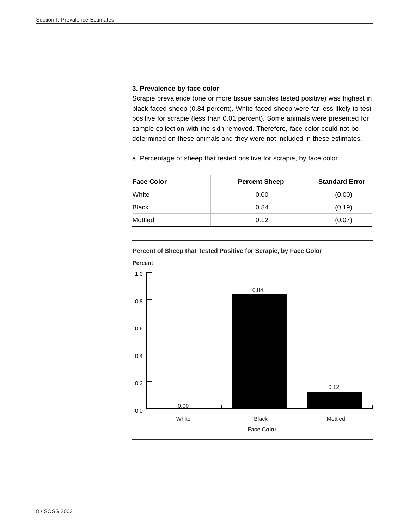# **3. Prevalence by face color**

Scrapie prevalence (one or more tissue samples tested positive) was highest in black-faced sheep (0.84 percent). White-faced sheep were far less likely to test positive for scrapie (less than 0.01 percent). Some animals were presented for sample collection with the skin removed. Therefore, face color could not be determined on these animals and they were not included in these estimates.

a. Percentage of sheep that tested positive for scrapie, by face color.

| <b>Face Color</b> | <b>Percent Sheep</b> | <b>Standard Error</b> |
|-------------------|----------------------|-----------------------|
| White             | 0.00                 | (0.00)                |
| <b>Black</b>      | 0.84                 | (0.19)                |
| Mottled           | 0.12                 | (0.07)                |

**Percent of Sheep that Tested Positive for Scrapie, by Face Color**



# **Percent**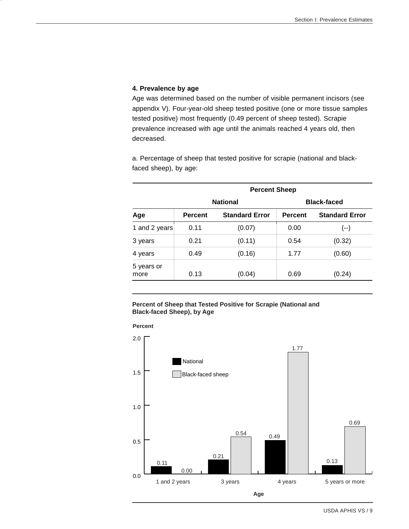# **4. Prevalence by age**

Age was determined based on the number of visible permanent incisors (see appendix V). Four-year-old sheep tested positive (one or more tissue samples tested positive) most frequently (0.49 percent of sheep tested). Scrapie prevalence increased with age until the animals reached 4 years old, then decreased.

a. Percentage of sheep that tested positive for scrapie (national and blackfaced sheep), by age:

|                    | <b>Percent Sheep</b> |                       |                    |                       |  |  |
|--------------------|----------------------|-----------------------|--------------------|-----------------------|--|--|
|                    |                      | <b>National</b>       | <b>Black-faced</b> |                       |  |  |
| Age                | <b>Percent</b>       | <b>Standard Error</b> | <b>Percent</b>     | <b>Standard Error</b> |  |  |
| 1 and 2 years      | 0.11                 | (0.07)                | 0.00               | $(--)$                |  |  |
| 3 years            | 0.21                 | (0.11)                | 0.54               | (0.32)                |  |  |
| 4 years            | 0.49                 | (0.16)                | 1.77               | (0.60)                |  |  |
| 5 years or<br>more | 0.13                 | (0.04)                | 0.69               | (0.24)                |  |  |

**Percent of Sheep that Tested Positive for Scrapie (National and Black-faced Sheep), by Age**

**Percent**

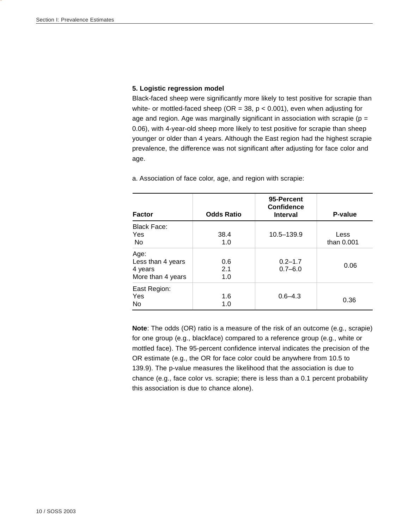# **5. Logistic regression model**

Black-faced sheep were significantly more likely to test positive for scrapie than white- or mottled-faced sheep ( $OR = 38$ ,  $p < 0.001$ ), even when adjusting for age and region. Age was marginally significant in association with scrapie ( $p =$ 0.06), with 4-year-old sheep more likely to test positive for scrapie than sheep younger or older than 4 years. Although the East region had the highest scrapie prevalence, the difference was not significant after adjusting for face color and age.

**Factor Odds Ratio 95-Percent Confidence Interval P-value** Black Face: Yes No 38.4 1.0 10.5–139.9 Less than 0.001 Age: Less than 4 years 4 years More than 4 years 0.6 2.1 1.0  $0.2 - 1.7$  $0.2 - 1.7$  0.06 East Region: Yes No 1.6 1.0  $0.6-4.3$  0.36

a. Association of face color, age, and region with scrapie:

**Note**: The odds (OR) ratio is a measure of the risk of an outcome (e.g., scrapie) for one group (e.g., blackface) compared to a reference group (e.g., white or mottled face). The 95-percent confidence interval indicates the precision of the OR estimate (e.g., the OR for face color could be anywhere from 10.5 to 139.9). The p-value measures the likelihood that the association is due to chance (e.g., face color vs. scrapie; there is less than a 0.1 percent probability this association is due to chance alone).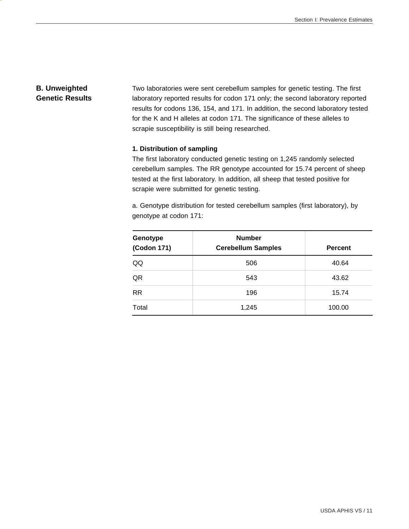# **B. Unweighted Genetic Results**

Two laboratories were sent cerebellum samples for genetic testing. The first laboratory reported results for codon 171 only; the second laboratory reported results for codons 136, 154, and 171. In addition, the second laboratory tested for the K and H alleles at codon 171. The significance of these alleles to scrapie susceptibility is still being researched.

# **1. Distribution of sampling**

The first laboratory conducted genetic testing on 1,245 randomly selected cerebellum samples. The RR genotype accounted for 15.74 percent of sheep tested at the first laboratory. In addition, all sheep that tested positive for scrapie were submitted for genetic testing.

a. Genotype distribution for tested cerebellum samples (first laboratory), by genotype at codon 171:

| Genotype<br>(Codon 171) | <b>Number</b><br><b>Cerebellum Samples</b> | <b>Percent</b> |
|-------------------------|--------------------------------------------|----------------|
| QQ                      | 506                                        | 40.64          |
| QR                      | 543                                        | 43.62          |
| <b>RR</b>               | 196                                        | 15.74          |
| Total                   | 1,245                                      | 100.00         |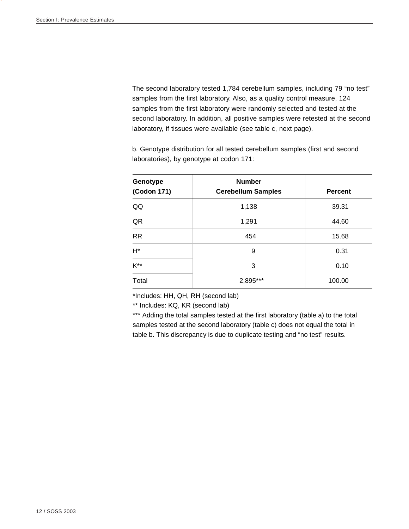The second laboratory tested 1,784 cerebellum samples, including 79 "no test" samples from the first laboratory. Also, as a quality control measure, 124 samples from the first laboratory were randomly selected and tested at the second laboratory. In addition, all positive samples were retested at the second laboratory, if tissues were available (see table c, next page).

**Genotype (Codon 171) Number Cerebellum Samples Cerebellum Samples** QQ 1,138 2Q QR 1,291 44.60 RR 15.68  $H^*$  0.31  $K^{**}$  0.10 Total 2,895\*\*\* 100.00

b. Genotype distribution for all tested cerebellum samples (first and second laboratories), by genotype at codon 171:

\*Includes: HH, QH, RH (second lab)

\*\* Includes: KQ, KR (second lab)

\*\*\* Adding the total samples tested at the first laboratory (table a) to the total samples tested at the second laboratory (table c) does not equal the total in table b. This discrepancy is due to duplicate testing and "no test" results.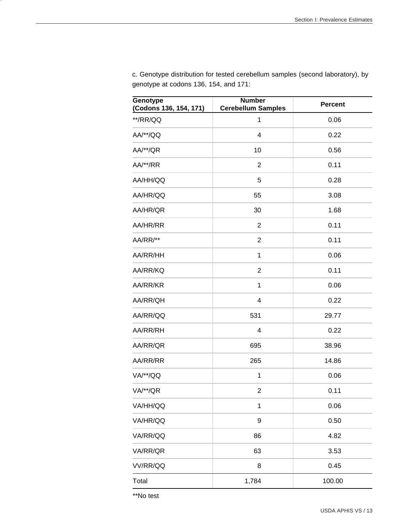| Genotype<br>(Codons 136, 154, 171) | <b>Number</b><br><b>Cerebellum Samples</b> | <b>Percent</b> |
|------------------------------------|--------------------------------------------|----------------|
| **/RR/QQ                           | $\mathbf 1$                                | 0.06           |
| AA/**/QQ                           | $\overline{\mathbf{4}}$                    | 0.22           |
| AA/**/QR                           | 10                                         | 0.56           |
| AA/**/RR                           | $\overline{2}$                             | 0.11           |
| AA/HH/QQ                           | 5                                          | 0.28           |
| AA/HR/QQ                           | 55                                         | 3.08           |
| AA/HR/QR                           | 30                                         | 1.68           |
| AA/HR/RR                           | $\overline{2}$                             | 0.11           |
| AA/RR/**                           | $\overline{2}$                             | 0.11           |
| AA/RR/HH                           | 1                                          | 0.06           |
| AA/RR/KQ                           | $\overline{2}$                             | 0.11           |
| AA/RR/KR                           | 1                                          | 0.06           |
| AA/RR/QH                           | 4                                          | 0.22           |
| AA/RR/QQ                           | 531                                        | 29.77          |
| AA/RR/RH                           | 4                                          | 0.22           |
| AA/RR/QR                           | 695                                        | 38.96          |
| AA/RR/RR                           | 265                                        | 14.86          |
| VA/**/QQ                           | 1                                          | 0.06           |
| VA/**/QR                           | $\overline{2}$                             | 0.11           |
| VA/HH/QQ                           | $\mathbf 1$                                | 0.06           |
| VA/HR/QQ                           | $\boldsymbol{9}$                           | 0.50           |
| VA/RR/QQ                           | 86                                         | 4.82           |
| VA/RR/QR                           | 63                                         | 3.53           |
| VV/RR/QQ                           | 8                                          | 0.45           |
| Total                              | 1,784                                      | 100.00         |

c. Genotype distribution for tested cerebellum samples (second laboratory), by genotype at codons 136, 154, and 171:

\*\*No test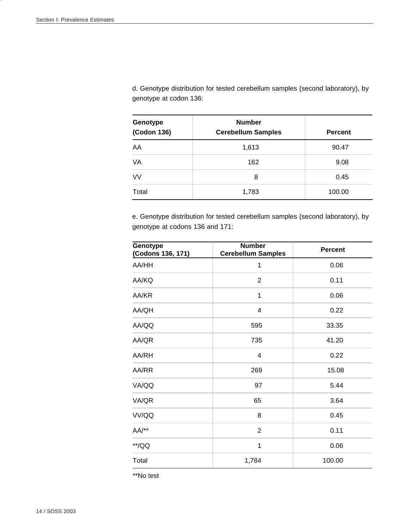d. Genotype distribution for tested cerebellum samples (second laboratory), by genotype at codon 136:

| Genotype<br>(Codon 136) | <b>Number</b><br><b>Cerebellum Samples</b> | <b>Percent</b> |
|-------------------------|--------------------------------------------|----------------|
| AA                      | 1,613                                      | 90.47          |
| VA                      | 162                                        | 9.08           |
| VV                      | 8                                          | 0.45           |
| Total                   | 1,783                                      | 100.00         |

e. Genotype distribution for tested cerebellum samples (second laboratory), by genotype at codons 136 and 171:

| Genotype<br>(Codons 136, 171) | <b>Number</b><br><b>Cerebellum Samples</b> | <b>Percent</b> |
|-------------------------------|--------------------------------------------|----------------|
| AA/HH                         | 1                                          | 0.06           |
| AA/KQ                         | $\overline{2}$                             | 0.11           |
| AA/KR                         | 1                                          | 0.06           |
| AA/QH                         | $\overline{\mathbf{4}}$                    | 0.22           |
| AA/QQ                         | 595                                        | 33.35          |
| AA/QR                         | 735                                        | 41.20          |
| AA/RH                         | $\overline{\mathbf{4}}$                    | 0.22           |
| AA/RR                         | 269                                        | 15.08          |
| VA/QQ                         | 97                                         | 5.44           |
| VA/QR                         | 65                                         | 3.64           |
| VV/QQ                         | 8                                          | 0.45           |
| $AA/**$                       | $\overline{2}$                             | 0.11           |
| $\star\star/\mathrm{QQ}$      | 1                                          | 0.06           |
| Total                         | 1,784                                      | 100.00         |

\*\*No test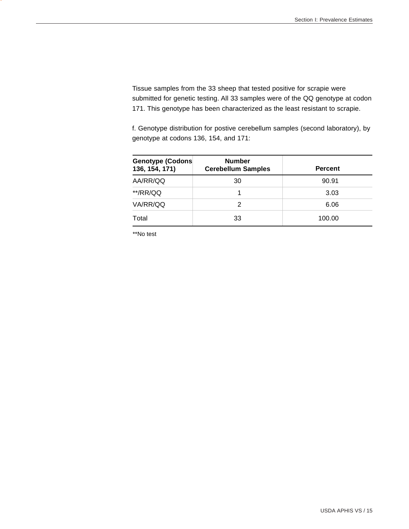Tissue samples from the 33 sheep that tested positive for scrapie were submitted for genetic testing. All 33 samples were of the QQ genotype at codon 171. This genotype has been characterized as the least resistant to scrapie.

f. Genotype distribution for postive cerebellum samples (second laboratory), by genotype at codons 136, 154, and 171:

| <b>Genotype (Codons)</b><br>136, 154, 171) | <b>Number</b><br><b>Cerebellum Samples</b> | <b>Percent</b> |
|--------------------------------------------|--------------------------------------------|----------------|
| AA/RR/QQ                                   | 30                                         | 90.91          |
| $*$ /RR/QQ                                 |                                            | 3.03           |
| VA/RR/QQ                                   | 2                                          | 6.06           |
| Total                                      | 33                                         | 100.00         |

\*\*No test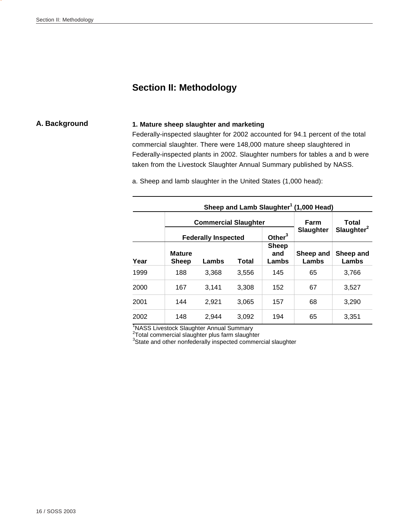# **Section II: Methodology**

# **A. Background 1. Mature sheep slaughter and marketing**

Federally-inspected slaughter for 2002 accounted for 94.1 percent of the total commercial slaughter. There were 148,000 mature sheep slaughtered in Federally-inspected plants in 2002. Slaughter numbers for tables a and b were taken from the Livestock Slaughter Annual Summary published by NASS.

a. Sheep and lamb slaughter in the United States (1,000 head):

| Sheep and Lamb Slaughter <sup>1</sup> (1,000 Head) |                               |                             |       |                              |                    |                        |  |  |
|----------------------------------------------------|-------------------------------|-----------------------------|-------|------------------------------|--------------------|------------------------|--|--|
|                                                    |                               | <b>Commercial Slaughter</b> |       |                              | Total              |                        |  |  |
|                                                    |                               | <b>Federally Inspected</b>  |       | Other <sup>3</sup>           | <b>Slaughter</b>   | Slaughter <sup>2</sup> |  |  |
| Year                                               | <b>Mature</b><br><b>Sheep</b> | Lambs                       | Total | <b>Sheep</b><br>and<br>Lambs | Sheep and<br>Lambs | Sheep and<br>Lambs     |  |  |
| 1999                                               | 188                           | 3.368                       | 3.556 | 145                          | 65                 | 3,766                  |  |  |
| 2000                                               | 167                           | 3.141                       | 3.308 | 152                          | 67                 | 3,527                  |  |  |
| 2001                                               | 144                           | 2.921                       | 3.065 | 157                          | 68                 | 3,290                  |  |  |
| 2002                                               | 148                           | 2.944                       | 3,092 | 194                          | 65                 | 3,351                  |  |  |

<sup>1</sup>NASS Livestock Slaughter Annual Summary<br><sup>2</sup>Total commercial slaughter plus farm slaughter<br><sup>3</sup>State and other nonfederally inspected commercial slaughter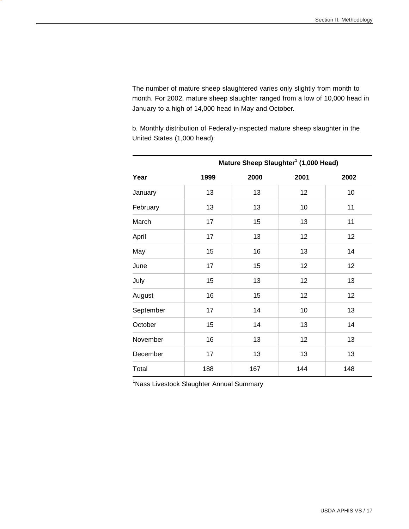The number of mature sheep slaughtered varies only slightly from month to month. For 2002, mature sheep slaughter ranged from a low of 10,000 head in January to a high of 14,000 head in May and October.

b. Monthly distribution of Federally-inspected mature sheep slaughter in the United States (1,000 head):

|           | Mature Sheep Slaughter <sup>1</sup> (1,000 Head) |      |      |      |  |  |
|-----------|--------------------------------------------------|------|------|------|--|--|
| Year      | 1999                                             | 2000 | 2001 | 2002 |  |  |
| January   | 13                                               | 13   | 12   | 10   |  |  |
| February  | 13                                               | 13   | 10   | 11   |  |  |
| March     | 17                                               | 15   | 13   | 11   |  |  |
| April     | 17                                               | 13   | 12   | 12   |  |  |
| May       | 15                                               | 16   | 13   | 14   |  |  |
| June      | 17                                               | 15   | 12   | 12   |  |  |
| July      | 15                                               | 13   | 12   | 13   |  |  |
| August    | 16                                               | 15   | 12   | 12   |  |  |
| September | 17                                               | 14   | 10   | 13   |  |  |
| October   | 15                                               | 14   | 13   | 14   |  |  |
| November  | 16                                               | 13   | 12   | 13   |  |  |
| December  | 17                                               | 13   | 13   | 13   |  |  |
| Total     | 188                                              | 167  | 144  | 148  |  |  |

<sup>1</sup>Nass Livestock Slaughter Annual Summary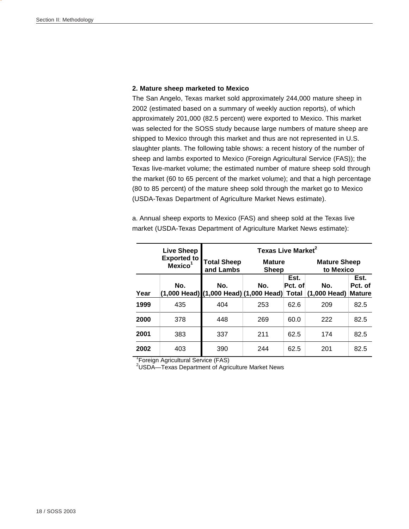### **2. Mature sheep marketed to Mexico**

The San Angelo, Texas market sold approximately 244,000 mature sheep in 2002 (estimated based on a summary of weekly auction reports), of which approximately 201,000 (82.5 percent) were exported to Mexico. This market was selected for the SOSS study because large numbers of mature sheep are shipped to Mexico through this market and thus are not represented in U.S. slaughter plants. The following table shows: a recent history of the number of sheep and lambs exported to Mexico (Foreign Agricultural Service (FAS)); the Texas live-market volume; the estimated number of mature sheep sold through the market (60 to 65 percent of the market volume); and that a high percentage (80 to 85 percent) of the mature sheep sold through the market go to Mexico (USDA-Texas Department of Agriculture Market News estimate).

a. Annual sheep exports to Mexico (FAS) and sheep sold at the Texas live market (USDA-Texas Department of Agriculture Market News estimate):

|      | <b>Live Sheep</b>                            | Texas Live Market <sup>2</sup>                                   |                                                     |                                  |                       |                                  |  |
|------|----------------------------------------------|------------------------------------------------------------------|-----------------------------------------------------|----------------------------------|-----------------------|----------------------------------|--|
|      | <b>Exported to</b><br>$M$ exico <sup>1</sup> | <b>Total Sheep</b><br><b>Mature</b><br>and Lambs<br><b>Sheep</b> |                                                     | <b>Mature Sheep</b><br>to Mexico |                       |                                  |  |
| Year | No.                                          | No.                                                              | No.<br>$(1,000$ Head) $(1,000$ Head) $(1,000$ Head) | Est.<br>Pct. of<br><b>Total</b>  | No.<br>$(1,000$ Head) | Est.<br>Pct. of<br><b>Mature</b> |  |
| 1999 | 435                                          | 404                                                              | 253                                                 | 62.6                             | 209                   | 82.5                             |  |
| 2000 | 378                                          | 448                                                              | 269                                                 | 60.0                             | 222                   | 82.5                             |  |
| 2001 | 383                                          | 337                                                              | 211                                                 | 62.5                             | 174                   | 82.5                             |  |
| 2002 | 403                                          | 390                                                              | 244                                                 | 62.5                             | 201                   | 82.5                             |  |

<sup>1</sup> Foreign Agricultural Service (FAS)

<sup>2</sup>USDA—Texas Department of Agriculture Market News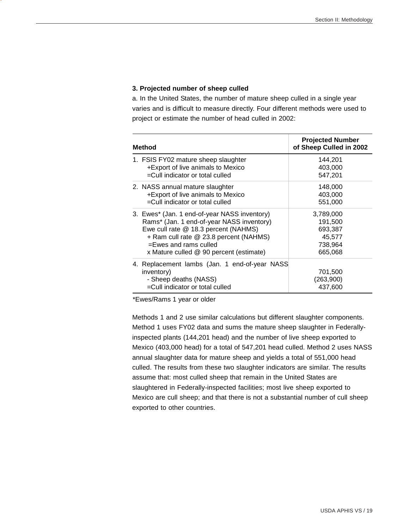### **3. Projected number of sheep culled**

a. In the United States, the number of mature sheep culled in a single year varies and is difficult to measure directly. Four different methods were used to project or estimate the number of head culled in 2002:

| <b>Method</b>                                                                                                           | <b>Projected Number</b><br>of Sheep Culled in 2002 |
|-------------------------------------------------------------------------------------------------------------------------|----------------------------------------------------|
| 1. FSIS FY02 mature sheep slaughter                                                                                     | 144,201                                            |
| +Export of live animals to Mexico                                                                                       | 403,000                                            |
| =Cull indicator or total culled                                                                                         | 547,201                                            |
| 2. NASS annual mature slaughter                                                                                         | 148,000                                            |
| +Export of live animals to Mexico                                                                                       | 403,000                                            |
| $=$ Cull indicator or total culled                                                                                      | 551,000                                            |
| 3. Ewes* (Jan. 1 end-of-year NASS inventory)                                                                            | 3,789,000                                          |
| Rams* (Jan. 1 end-of-year NASS inventory)                                                                               | 191,500                                            |
| Ewe cull rate @ 18.3 percent (NAHMS)                                                                                    | 693,387                                            |
| + Ram cull rate @ 23.8 percent (NAHMS)                                                                                  | 45,577                                             |
| $=$ Ewes and rams culled                                                                                                | 738,964                                            |
| x Mature culled @ 90 percent (estimate)                                                                                 | 665,068                                            |
| 4. Replacement lambs (Jan. 1 end-of-year NASS<br>inventory)<br>- Sheep deaths (NASS)<br>=Cull indicator or total culled | 701,500<br>(263,900)<br>437,600                    |

\*Ewes/Rams 1 year or older

Methods 1 and 2 use similar calculations but different slaughter components. Method 1 uses FY02 data and sums the mature sheep slaughter in Federallyinspected plants (144,201 head) and the number of live sheep exported to Mexico (403,000 head) for a total of 547,201 head culled. Method 2 uses NASS annual slaughter data for mature sheep and yields a total of 551,000 head culled. The results from these two slaughter indicators are similar. The results assume that: most culled sheep that remain in the United States are slaughtered in Federally-inspected facilities; most live sheep exported to Mexico are cull sheep; and that there is not a substantial number of cull sheep exported to other countries.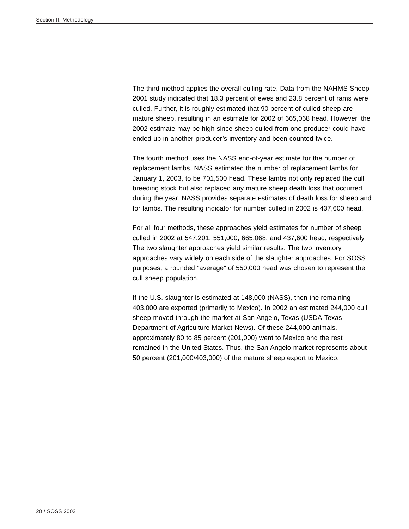The third method applies the overall culling rate. Data from the NAHMS Sheep 2001 study indicated that 18.3 percent of ewes and 23.8 percent of rams were culled. Further, it is roughly estimated that 90 percent of culled sheep are mature sheep, resulting in an estimate for 2002 of 665,068 head. However, the 2002 estimate may be high since sheep culled from one producer could have ended up in another producer's inventory and been counted twice.

The fourth method uses the NASS end-of-year estimate for the number of replacement lambs. NASS estimated the number of replacement lambs for January 1, 2003, to be 701,500 head. These lambs not only replaced the cull breeding stock but also replaced any mature sheep death loss that occurred during the year. NASS provides separate estimates of death loss for sheep and for lambs. The resulting indicator for number culled in 2002 is 437,600 head.

For all four methods, these approaches yield estimates for number of sheep culled in 2002 at 547,201, 551,000, 665,068, and 437,600 head, respectively. The two slaughter approaches yield similar results. The two inventory approaches vary widely on each side of the slaughter approaches. For SOSS purposes, a rounded "average" of 550,000 head was chosen to represent the cull sheep population.

If the U.S. slaughter is estimated at 148,000 (NASS), then the remaining 403,000 are exported (primarily to Mexico). In 2002 an estimated 244,000 cull sheep moved through the market at San Angelo, Texas (USDA-Texas Department of Agriculture Market News). Of these 244,000 animals, approximately 80 to 85 percent (201,000) went to Mexico and the rest remained in the United States. Thus, the San Angelo market represents about 50 percent (201,000/403,000) of the mature sheep export to Mexico.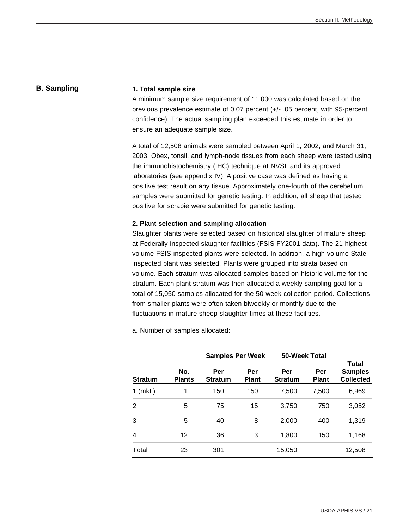# **B. Sampling 1. Total sample size**

A minimum sample size requirement of 11,000 was calculated based on the previous prevalence estimate of 0.07 percent (+/- .05 percent, with 95-percent confidence). The actual sampling plan exceeded this estimate in order to ensure an adequate sample size.

A total of 12,508 animals were sampled between April 1, 2002, and March 31, 2003. Obex, tonsil, and lymph-node tissues from each sheep were tested using the immunohistochemistry (IHC) technique at NVSL and its approved laboratories (see appendix IV). A positive case was defined as having a positive test result on any tissue. Approximately one-fourth of the cerebellum samples were submitted for genetic testing. In addition, all sheep that tested positive for scrapie were submitted for genetic testing.

#### **2. Plant selection and sampling allocation**

Slaughter plants were selected based on historical slaughter of mature sheep at Federally-inspected slaughter facilities (FSIS FY2001 data). The 21 highest volume FSIS-inspected plants were selected. In addition, a high-volume Stateinspected plant was selected. Plants were grouped into strata based on volume. Each stratum was allocated samples based on historic volume for the stratum. Each plant stratum was then allocated a weekly sampling goal for a total of 15,050 samples allocated for the 50-week collection period. Collections from smaller plants were often taken biweekly or monthly due to the fluctuations in mature sheep slaughter times at these facilities.

a. Number of samples allocated:

|                |                      | <b>Samples Per Week</b> |                     | 50-Week Total         |                     |                                                    |
|----------------|----------------------|-------------------------|---------------------|-----------------------|---------------------|----------------------------------------------------|
| <b>Stratum</b> | No.<br><b>Plants</b> | Per<br><b>Stratum</b>   | Per<br><b>Plant</b> | Per<br><b>Stratum</b> | Per<br><b>Plant</b> | <b>Total</b><br><b>Samples</b><br><b>Collected</b> |
| $1$ (mkt.)     | 1                    | 150                     | 150                 | 7,500                 | 7,500               | 6,969                                              |
| 2              | 5                    | 75                      | 15                  | 3,750                 | 750                 | 3,052                                              |
| 3              | 5                    | 40                      | 8                   | 2,000                 | 400                 | 1,319                                              |
| 4              | 12                   | 36                      | 3                   | 1,800                 | 150                 | 1,168                                              |
| Total          | 23                   | 301                     |                     | 15,050                |                     | 12,508                                             |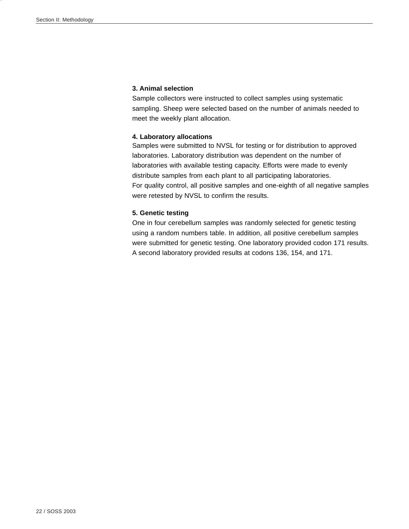# **3. Animal selection**

Sample collectors were instructed to collect samples using systematic sampling. Sheep were selected based on the number of animals needed to meet the weekly plant allocation.

#### **4. Laboratory allocations**

Samples were submitted to NVSL for testing or for distribution to approved laboratories. Laboratory distribution was dependent on the number of laboratories with available testing capacity. Efforts were made to evenly distribute samples from each plant to all participating laboratories. For quality control, all positive samples and one-eighth of all negative samples were retested by NVSL to confirm the results.

#### **5. Genetic testing**

One in four cerebellum samples was randomly selected for genetic testing using a random numbers table. In addition, all positive cerebellum samples were submitted for genetic testing. One laboratory provided codon 171 results. A second laboratory provided results at codons 136, 154, and 171.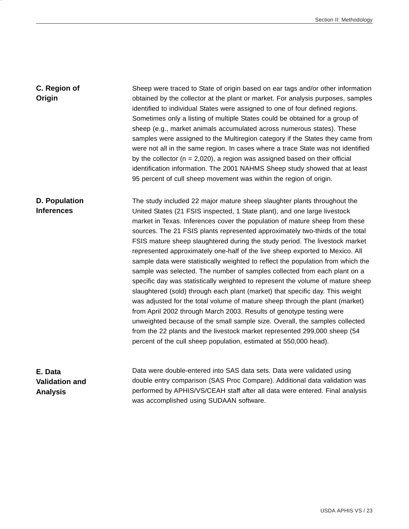| C. Region of<br>Origin                              | Sheep were traced to State of origin based on ear tags and/or other information<br>obtained by the collector at the plant or market. For analysis purposes, samples<br>identified to individual States were assigned to one of four defined regions.<br>Sometimes only a listing of multiple States could be obtained for a group of<br>sheep (e.g., market animals accumulated across numerous states). These<br>samples were assigned to the Multiregion category if the States they came from<br>were not all in the same region. In cases where a trace State was not identified<br>by the collector ( $n = 2,020$ ), a region was assigned based on their official<br>identification information. The 2001 NAHMS Sheep study showed that at least<br>95 percent of cull sheep movement was within the region of origin.                                                                                                                                                                                                                                                                                                                                                                                       |
|-----------------------------------------------------|--------------------------------------------------------------------------------------------------------------------------------------------------------------------------------------------------------------------------------------------------------------------------------------------------------------------------------------------------------------------------------------------------------------------------------------------------------------------------------------------------------------------------------------------------------------------------------------------------------------------------------------------------------------------------------------------------------------------------------------------------------------------------------------------------------------------------------------------------------------------------------------------------------------------------------------------------------------------------------------------------------------------------------------------------------------------------------------------------------------------------------------------------------------------------------------------------------------------|
| <b>D. Population</b><br><b>Inferences</b>           | The study included 22 major mature sheep slaughter plants throughout the<br>United States (21 FSIS inspected, 1 State plant), and one large livestock<br>market in Texas. Inferences cover the population of mature sheep from these<br>sources. The 21 FSIS plants represented approximately two-thirds of the total<br>FSIS mature sheep slaughtered during the study period. The livestock market<br>represented approximately one-half of the live sheep exported to Mexico. All<br>sample data were statistically weighted to reflect the population from which the<br>sample was selected. The number of samples collected from each plant on a<br>specific day was statistically weighted to represent the volume of mature sheep<br>slaughtered (sold) through each plant (market) that specific day. This weight<br>was adjusted for the total volume of mature sheep through the plant (market)<br>from April 2002 through March 2003. Results of genotype testing were<br>unweighted because of the small sample size. Overall, the samples collected<br>from the 22 plants and the livestock market represented 299,000 sheep (54<br>percent of the cull sheep population, estimated at 550,000 head). |
| E. Data<br><b>Validation and</b><br><b>Analysis</b> | Data were double-entered into SAS data sets. Data were validated using<br>double entry comparison (SAS Proc Compare). Additional data validation was<br>performed by APHIS/VS/CEAH staff after all data were entered. Final analysis<br>was accomplished using SUDAAN software.                                                                                                                                                                                                                                                                                                                                                                                                                                                                                                                                                                                                                                                                                                                                                                                                                                                                                                                                    |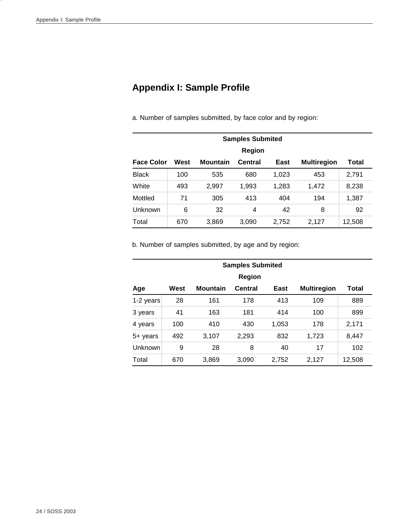# **Appendix I: Sample Profile**

a. Number of samples submitted, by face color and by region:

| <b>Samples Submited</b> |        |                 |         |       |                    |        |  |
|-------------------------|--------|-----------------|---------|-------|--------------------|--------|--|
|                         | Region |                 |         |       |                    |        |  |
| <b>Face Color</b>       | West   | <b>Mountain</b> | Central | East  | <b>Multiregion</b> | Total  |  |
| <b>Black</b>            | 100    | 535             | 680     | 1,023 | 453                | 2,791  |  |
| White                   | 493    | 2,997           | 1,993   | 1,283 | 1,472              | 8,238  |  |
| Mottled                 | 71     | 305             | 413     | 404   | 194                | 1,387  |  |
| Unknown                 | 6      | 32              | 4       | 42    | 8                  | 92     |  |
| Total                   | 670    | 3,869           | 3,090   | 2,752 | 2,127              | 12,508 |  |

b. Number of samples submitted, by age and by region:

| <b>Samples Submited</b> |                                                                           |       |       |       |       |        |  |  |  |
|-------------------------|---------------------------------------------------------------------------|-------|-------|-------|-------|--------|--|--|--|
|                         | Region                                                                    |       |       |       |       |        |  |  |  |
| Age                     | <b>Multiregion</b><br><b>Mountain</b><br>Central<br>East<br>West<br>Total |       |       |       |       |        |  |  |  |
| 1-2 years               | 28                                                                        | 161   | 178   | 413   | 109   | 889    |  |  |  |
| 3 years                 | 41                                                                        | 163   | 181   | 414   | 100   | 899    |  |  |  |
| 4 years                 | 100                                                                       | 410   | 430   | 1,053 | 178   | 2,171  |  |  |  |
| 5+ years                | 492                                                                       | 3,107 | 2,293 | 832   | 1,723 | 8,447  |  |  |  |
| Unknown                 | 9                                                                         | 28    | 8     | 40    | 17    | 102    |  |  |  |
| Total                   | 670                                                                       | 3,869 | 3,090 | 2,752 | 2,127 | 12,508 |  |  |  |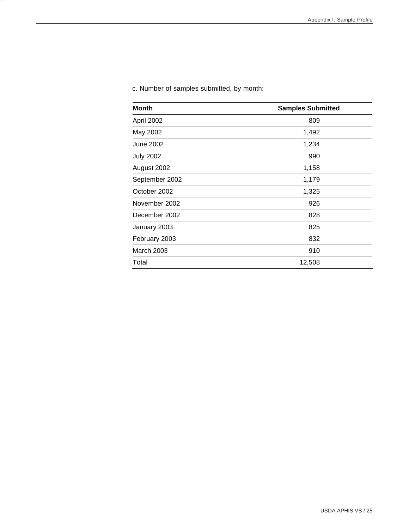| <b>Month</b>      | <b>Samples Submitted</b> |
|-------------------|--------------------------|
| April 2002        | 809                      |
| May 2002          | 1,492                    |
| <b>June 2002</b>  | 1,234                    |
| <b>July 2002</b>  | 990                      |
| August 2002       | 1,158                    |
| September 2002    | 1,179                    |
| October 2002      | 1,325                    |
| November 2002     | 926                      |
| December 2002     | 828                      |
| January 2003      | 825                      |
| February 2003     | 832                      |
| <b>March 2003</b> | 910                      |
| Total             | 12,508                   |

c. Number of samples submitted, by month: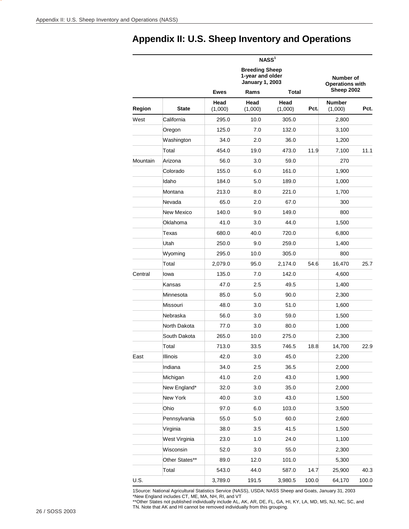# **Appendix II: U.S. Sheep Inventory and Operations**

|          | NASS <sup>1</sup> |                 |                                                                     |                 |       |                          |       |
|----------|-------------------|-----------------|---------------------------------------------------------------------|-----------------|-------|--------------------------|-------|
|          |                   |                 | <b>Breeding Sheep</b><br>1-year and older<br><b>January 1, 2003</b> |                 |       |                          |       |
|          |                   | <b>Ewes</b>     | Rams                                                                | <b>Total</b>    |       | Sheep 2002               |       |
| Region   | <b>State</b>      | Head<br>(1,000) | Head<br>(1,000)                                                     | Head<br>(1,000) | Pct.  | <b>Number</b><br>(1,000) | Pct.  |
| West     | California        | 295.0           | 10.0                                                                | 305.0           |       | 2,800                    |       |
|          | Oregon            | 125.0           | 7.0                                                                 | 132.0           |       | 3,100                    |       |
|          | Washington        | 34.0            | 2.0                                                                 | 36.0            |       | 1,200                    |       |
|          | Total             | 454.0           | 19.0                                                                | 473.0           | 11.9  | 7,100                    | 11.1  |
| Mountain | Arizona           | 56.0            | 3.0                                                                 | 59.0            |       | 270                      |       |
|          | Colorado          | 155.0           | 6.0                                                                 | 161.0           |       | 1,900                    |       |
|          | Idaho             | 184.0           | 5.0                                                                 | 189.0           |       | 1,000                    |       |
|          | Montana           | 213.0           | 8.0                                                                 | 221.0           |       | 1,700                    |       |
|          | Nevada            | 65.0            | 2.0                                                                 | 67.0            |       | 300                      |       |
|          | New Mexico        | 140.0           | 9.0                                                                 | 149.0           |       | 800                      |       |
|          | Oklahoma          | 41.0            | 3.0                                                                 | 44.0            |       | 1,500                    |       |
|          | Texas             | 680.0           | 40.0                                                                | 720.0           |       | 6,800                    |       |
|          | Utah              | 250.0           | 9.0                                                                 | 259.0           |       | 1,400                    |       |
|          | Wyoming           | 295.0           | 10.0                                                                | 305.0           |       | 800                      |       |
|          | Total             | 2,079.0         | 95.0                                                                | 2,174.0         | 54.6  | 16,470                   | 25.7  |
| Central  | Iowa              | 135.0           | 7.0                                                                 | 142.0           |       | 4,600                    |       |
|          | Kansas            | 47.0            | 2.5                                                                 | 49.5            |       | 1,400                    |       |
|          | Minnesota         | 85.0            | 5.0                                                                 | 90.0            |       | 2,300                    |       |
|          | Missouri          | 48.0            | 3.0                                                                 | 51.0            |       | 1,600                    |       |
|          | Nebraska          | 56.0            | 3.0                                                                 | 59.0            |       | 1,500                    |       |
|          | North Dakota      | 77.0            | 3.0                                                                 | 80.0            |       | 1,000                    |       |
|          | South Dakota      | 265.0           | 10.0                                                                | 275.0           |       | 2,300                    |       |
|          | Total             | 713.0           | 33.5                                                                | 746.5           | 18.8  | 14,700                   | 22.9  |
| East     | Illinois          | 42.0            | 3.0                                                                 | 45.0            |       | 2,200                    |       |
|          | Indiana           | 34.0            | 2.5                                                                 | 36.5            |       | 2,000                    |       |
|          | Michigan          | 41.0            | 2.0                                                                 | 43.0            |       | 1,900                    |       |
|          | New England*      | 32.0            | 3.0                                                                 | 35.0            |       | 2,000                    |       |
|          | New York          | 40.0            | 3.0                                                                 | 43.0            |       | 1,500                    |       |
|          | Ohio              | 97.0            | 6.0                                                                 | 103.0           |       | 3,500                    |       |
|          | Pennsylvania      | 55.0            | 5.0                                                                 | 60.0            |       | 2,600                    |       |
|          | Virginia          | 38.0            | 3.5                                                                 | 41.5            |       | 1,500                    |       |
|          | West Virginia     | 23.0            | 1.0                                                                 | 24.0            |       | 1,100                    |       |
|          | Wisconsin         | 52.0            | 3.0                                                                 | 55.0            |       | 2,300                    |       |
|          | Other States**    | 89.0            | 12.0                                                                | 101.0           |       | 5,300                    |       |
|          | Total             | 543.0           | 44.0                                                                | 587.0           | 14.7  | 25,900                   | 40.3  |
| U.S.     |                   | 3,789.0         | 191.5                                                               | 3,980.5         | 100.0 | 64,170                   | 100.0 |

1Source: National Agricultural Statistics Service (NASS), USDA; NASS Sheep and Goats, January 31, 2003

\*New England includes CT, ME, MA, NH, RI, and VT \*\*Other States not published individually include AL, AK, AR, DE, FL, GA, HI, KY, LA, MD, MS, NJ, NC, SC, and TN. Note that AK and HI cannot be removed individually from this grouping.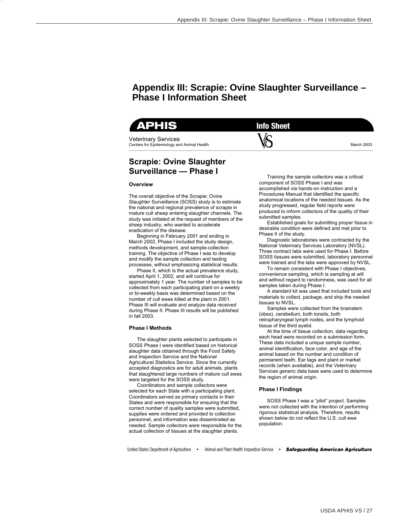# **Appendix III: Scrapie: Ovine Slaughter Surveillance – Phase I Information Sheet**

| <b>APHIS</b>                                                      | <b>Info Sheet</b> |            |
|-------------------------------------------------------------------|-------------------|------------|
| Veterinary Services<br>Centers for Epidemiology and Animal Health |                   | March 2003 |

# **Scrapie: Ovine Slaughter Surveillance — Phase I**

#### **Overview**

ı

The overall objective of the Scrapie: Ovine Slaughter Surveillance (SOSS) study is to estimate the national and regional prevalence of scrapie in mature cull sheep entering slaughter channels. The study was initiated at the request of members of the sheep industry, who wanted to accelerate eradication of the disease.

Beginning in February 2001 and ending in March 2002, Phase I included the study design, methods development, and sample-collection training. The objective of Phase I was to develop and modify the sample collection and testing processes, without emphasizing statistical results.

Phase II, which is the actual prevalence study, started April 1, 2002, and will continue for approximately 1 year. The number of samples to be collected from each participating plant on a weekly or bi-weekly basis was determined based on the number of cull ewes killed at the plant in 2001. Phase III will evaluate and analyze data received during Phase II. Phase III results will be published in fall 2003.

#### **Phase I Methods**

The slaughter plants selected to participate in SOSS Phase I were identified based on historical slaughter data obtained through the Food Safety and Inspection Service and the National Agricultural Statistics Service. Since the currently accepted diagnostics are for adult animals, plants that slaughtered large numbers of mature cull ewes were targeted for the SOSS study.

Coordinators and sample collectors were selected for each State with a participating plant. Coordinators served as primary contacts in their States and were responsible for ensuring that the correct number of quality samples were submitted, supplies were ordered and provided to collection personnel, and information was disseminated as needed. Sample collectors were responsible for the actual collection of tissues at the slaughter plants.

Training the sample collectors was a critical component of SOSS Phase I and was accomplished via hands-on instruction and a Procedures Manual that identified the specific anatomical locations of the needed tissues. As the study progressed, regular field reports were produced to inform collectors of the quality of their submitted samples.

Established goals for submitting proper tissue in desirable condition were defined and met prior to Phase II of the study.

Diagnostic laboratories were contracted by the National Veterinary Services Laboratory (NVSL). Three contract labs were used for Phase I. Before SOSS tissues were submitted, laboratory personnel were trained and the labs were approved by NVSL.

To remain consistent with Phase I objectives, convenience sampling, which is sampling at will and without regard to randomness, was used for all samples taken during Phase I.

A standard kit was used that included tools and materials to collect, package, and ship the needed tissues to NVSL.

Samples were collected from the brainstem (obex), cerebellum, both tonsils, both retropharyngeal lymph nodes, and the lymphoid tissue of the third eyelid.

At the time of tissue collection, data regarding each head were recorded on a submission form. These data included a unique sample number, animal identification, face color, and age of the animal based on the number and condition of permanent teeth. Ear tags and plant or market records (when available), and the Veterinary Services generic data base were used to determine the region of animal origin.

#### **Phase I Findings**

SOSS Phase I was a "pilot" project. Samples were not collected with the intention of performing rigorous statistical analysis. Therefore, results shown below do not reflect the U.S. cull ewe population.

United States Department of Agriculture . Animal and Plant Health Inspection Service . Safeguarding American Agriculture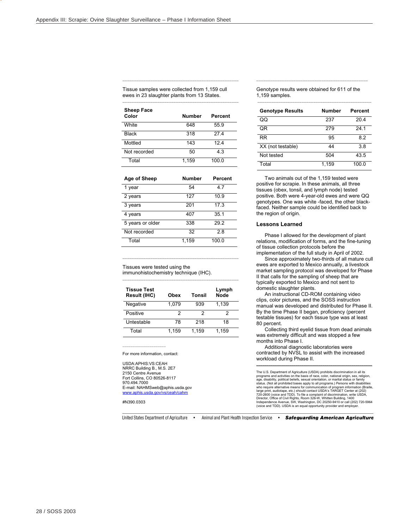Tissue samples were collected from 1,159 cull ewes in 23 slaughter plants from 13 States. **\_\_\_\_\_\_\_\_\_\_\_\_\_\_\_\_\_\_\_\_\_\_\_\_\_\_\_\_\_\_\_\_\_\_\_\_\_\_\_\_\_\_\_\_\_\_\_\_\_\_**

**\_\_\_\_\_\_\_\_\_\_\_\_\_\_\_\_\_\_\_\_\_\_\_\_\_\_\_\_\_\_\_\_\_\_\_\_\_\_\_\_\_\_\_\_\_\_\_\_\_\_** 

| <b>Sheep Face</b><br>Color | <b>Number</b> | Percent |
|----------------------------|---------------|---------|
| White                      | 648           | 55.9    |
| <b>Black</b>               | 318           | 27.4    |
| Mottled                    | 143           | 12.4    |
| Not recorded               | 50            | 4.3     |
| Total                      | 1.159         | 100.0   |

| Age of Sheep     | <b>Number</b> | Percent |
|------------------|---------------|---------|
| 1 year           | 54            | 47      |
| 2 years          | 127           | 10.9    |
| 3 years          | 201           | 17.3    |
| 4 years          | 407           | 35.1    |
| 5 years or older | 338           | 29.2    |
| Not recorded     | 32            | 2.8     |
| Total            | 1,159         | 100.0   |

**\_\_\_\_\_\_\_\_\_\_\_\_\_\_\_\_\_\_\_\_\_\_\_\_\_\_\_\_\_\_\_\_\_\_\_\_\_\_\_\_\_\_\_\_\_\_\_\_\_\_** 

**\_\_\_\_\_\_\_\_\_\_\_\_\_\_\_\_\_\_\_\_\_\_\_\_\_\_\_\_\_\_\_\_\_\_\_\_\_\_\_\_\_\_\_\_\_\_\_\_\_\_** 

Tissues were tested using the

immunohistochemistry technique (IHC).

| <b>Tissue Test</b><br><b>Result (IHC)</b> | Obex  | Tonsil | Lymph<br><b>Node</b> |
|-------------------------------------------|-------|--------|----------------------|
| Negative                                  | 1.079 | 939    | 1,139                |
| Positive                                  | 2     | 2      | 2                    |
| Untestable                                | 78    | 218    | 18                   |
| Total                                     | 1.159 | 1.159  | 1.159                |

**\_\_\_\_\_\_\_\_\_\_\_\_\_\_\_\_\_\_\_\_\_**  For more information, contact:

USDA:APHIS:VS:CEAH NRRC Building B., M.S. 2E7 2150 Centre Avenue Fort Collins, CO 80526-8117 970.494.7000 E-mail: NAHMSweb@aphis.usda.gov www.aphis.usda.gov/vs/ceah/cahm

#N390.0303

United States Department of Agriculture .

Animal and Plant Health Inspection Service • Safeguarding American Agriculture

**\_\_\_\_\_\_\_\_\_\_\_\_\_\_\_\_\_\_\_\_\_\_\_\_\_\_\_\_\_\_\_\_\_\_\_\_\_\_\_\_\_\_\_\_\_\_\_\_** Genotype results were obtained for 611 of the 1,159 samples.  **\_\_\_\_\_\_\_\_\_\_\_\_\_\_\_\_\_\_\_\_\_\_\_\_\_\_\_\_\_\_\_\_\_\_\_\_\_\_\_\_\_\_\_\_\_\_\_\_\_** 

| <b>Genotype Results</b> | Number | Percent |
|-------------------------|--------|---------|
| OΟ                      | 237    | 20.4    |
| ΟR                      | 279    | 24.1    |
| RR                      | 95     | 82      |
| XX (not testable)       | 44     | 38      |
| Not tested              | 504    | 43.5    |
| Total                   | 1,159  | 100.0   |

Two animals out of the 1,159 tested were positive for scrapie. In these animals, all three tissues (obex, tonsil, and lymph node) tested positive. Both were 4-year-old ewes and were QQ genotypes. One was white -faced, the other blackfaced. Neither sample could be identified back to the region of origin.

#### **Lessons Learned**

Phase I allowed for the development of plant relations, modification of forms, and the fine-tuning of tissue collection protocols before the implementation of the full study in April of 2002.

Since approximately two-thirds of all mature cull ewes are exported to Mexico annually, a livestock market sampling protocol was developed for Phase II that calls for the sampling of sheep that are typically exported to Mexico and not sent to domestic slaughter plants.

An instructional CD-ROM containing video clips, color pictures, and the SOSS instruction manual was developed and distributed for Phase II. By the time Phase II began, proficiency (percent testable tissues) for each tissue type was at least 80 percent.

Collecting third eyelid tissue from dead animals was extremely difficult and was stopped a few months into Phase I.

Additional diagnostic laboratories were contracted by NVSL to assist with the increased workload during Phase II. **\_\_\_\_\_\_\_\_\_\_\_\_\_\_\_\_\_\_\_\_\_\_\_\_\_\_\_\_\_\_\_\_\_\_\_\_\_\_\_\_\_\_\_\_\_\_\_\_\_\_\_\_\_\_\_\_**

The U.S. Department of Agriculture (USDA) prohibits discrimination in all its programs and activities on the basis of race, color, national origin, sex, religion, age, disability, political beliefs, sexual orientation, or marital status or family status. (Not all prohibited bases apply to all programs.) Persons with disabilities who require alternative means for communication of program information (Braille, large print, audiotape, etc.) should contact USDA's TARGET Center at (202)<br>720-2600 (voice and TDD). To file a complaint of discrimination, write USDA,<br>Director, Office of Civil Rights, Room 326-W, Whitten Building, 1400<br>I (voice and TDD). USDA is an equal opportunity provider and employer.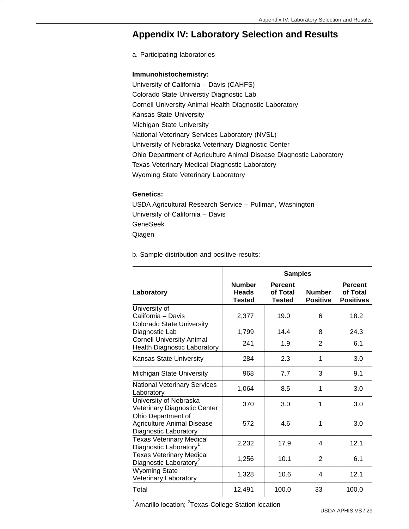# **Appendix IV: Laboratory Selection and Results**

a. Participating laboratories

### **Immunohistochemistry:**

University of California – Davis (CAHFS) Colorado State Universtiy Diagnostic Lab Cornell University Animal Health Diagnostic Laboratory Kansas State University Michigan State University National Veterinary Services Laboratory (NVSL) University of Nebraska Veterinary Diagnostic Center Ohio Department of Agriculture Animal Disease Diagnostic Laboratory Texas Veterinary Medical Diagnostic Laboratory Wyoming State Veterinary Laboratory

# **Genetics:**

USDA Agricultural Research Service – Pullman, Washington University of California – Davis GeneSeek Qiagen

b. Sample distribution and positive results:

|                                                                                  | <b>Samples</b>                                 |                                             |                                  |                                                |
|----------------------------------------------------------------------------------|------------------------------------------------|---------------------------------------------|----------------------------------|------------------------------------------------|
| Laboratory                                                                       | <b>Number</b><br><b>Heads</b><br><b>Tested</b> | <b>Percent</b><br>of Total<br><b>Tested</b> | <b>Number</b><br><b>Positive</b> | <b>Percent</b><br>of Total<br><b>Positives</b> |
| University of<br>California - Davis                                              | 2,377                                          | 19.0                                        | 6                                | 18.2                                           |
| <b>Colorado State University</b><br>Diagnostic Lab                               | 1,799                                          | 14.4                                        | 8                                | 24.3                                           |
| <b>Cornell University Animal</b><br><b>Health Diagnostic Laboratory</b>          | 241                                            | 1.9                                         | $\overline{2}$                   | 6.1                                            |
| <b>Kansas State University</b>                                                   | 284                                            | 2.3                                         | 1                                | 3.0                                            |
| Michigan State University                                                        | 968                                            | 7.7                                         | 3                                | 9.1                                            |
| <b>National Veterinary Services</b><br>Laboratory                                | 1,064                                          | 8.5                                         | 1                                | 3.0                                            |
| University of Nebraska<br>Veterinary Diagnostic Center                           | 370                                            | 3.0                                         | 1                                | 3.0                                            |
| Ohio Department of<br><b>Agriculture Animal Disease</b><br>Diagnostic Laboratory | 572                                            | 4.6                                         | 1                                | 3.0                                            |
| <b>Texas Veterinary Medical</b><br>Diagnostic Laboratory <sup>1</sup>            | 2,232                                          | 17.9                                        | 4                                | 12.1                                           |
| <b>Texas Veterinary Medical</b><br>Diagnostic Laboratory <sup>2</sup>            | 1,256                                          | 10.1                                        | 2                                | 6.1                                            |
| <b>Wyoming State</b><br>Veterinary Laboratory                                    | 1,328                                          | 10.6                                        | 4                                | 12.1                                           |
| Total                                                                            | 12,491                                         | 100.0                                       | 33                               | 100.0                                          |

<sup>1</sup> Amarillo location; <sup>2</sup> Texas-College Station location